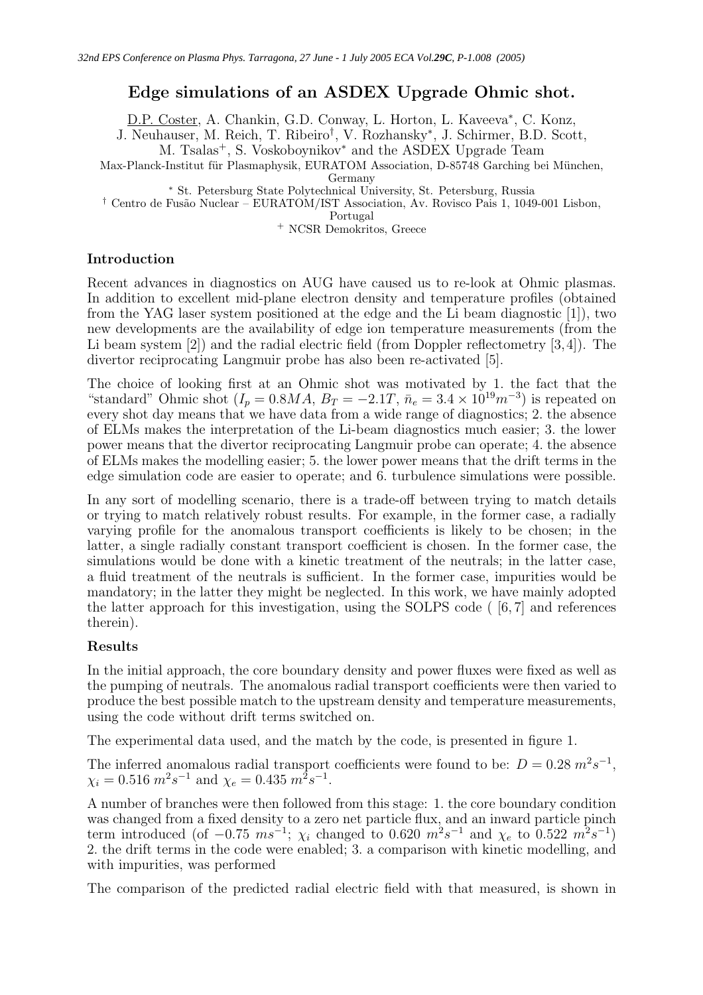# Edge simulations of an ASDEX Upgrade Ohmic shot.

D.P. Coster, A. Chankin, G.D. Conway, L. Horton, L. Kaveeva<sup>\*</sup>, C. Konz,

J. Neuhauser, M. Reich, T. Ribeiro† , V. Rozhansky<sup>∗</sup> , J. Schirmer, B.D. Scott,

M. Tsalas<sup>+</sup>, S. Voskoboynikov<sup>∗</sup> and the ASDEX Upgrade Team

Max-Planck-Institut für Plasmaphysik, EURATOM Association, D-85748 Garching bei München,

Germany

<sup>∗</sup> St. Petersburg State Polytechnical University, St. Petersburg, Russia

† Centro de Fus˜ao Nuclear – EURATOM/IST Association, Av. Rovisco Pais 1, 1049-001 Lisbon,

Portugal

<sup>+</sup> NCSR Demokritos, Greece

## Introduction

Recent advances in diagnostics on AUG have caused us to re-look at Ohmic plasmas. In addition to excellent mid-plane electron density and temperature profiles (obtained from the YAG laser system positioned at the edge and the Li beam diagnostic [1]), two new developments are the availability of edge ion temperature measurements (from the Li beam system [2]) and the radial electric field (from Doppler reflectometry [3,4]). The divertor reciprocating Langmuir probe has also been re-activated [5].

The choice of looking first at an Ohmic shot was motivated by 1. the fact that the "standard" Ohmic shot  $(I_p = 0.8MA, B_T = -2.1T, \bar{n}_e = 3.4 \times 10^{19} m^{-3})$  is repeated on every shot day means that we have data from a wide range of diagnostics; 2. the absence of ELMs makes the interpretation of the Li-beam diagnostics much easier; 3. the lower power means that the divertor reciprocating Langmuir probe can operate; 4. the absence of ELMs makes the modelling easier; 5. the lower power means that the drift terms in the edge simulation code are easier to operate; and 6. turbulence simulations were possible.

In any sort of modelling scenario, there is a trade-off between trying to match details or trying to match relatively robust results. For example, in the former case, a radially varying profile for the anomalous transport coefficients is likely to be chosen; in the latter, a single radially constant transport coefficient is chosen. In the former case, the simulations would be done with a kinetic treatment of the neutrals; in the latter case, a fluid treatment of the neutrals is sufficient. In the former case, impurities would be mandatory; in the latter they might be neglected. In this work, we have mainly adopted the latter approach for this investigation, using the SOLPS code ( [6, 7] and references therein).

## Results

In the initial approach, the core boundary density and power fluxes were fixed as well as the pumping of neutrals. The anomalous radial transport coefficients were then varied to produce the best possible match to the upstream density and temperature measurements, using the code without drift terms switched on.

The experimental data used, and the match by the code, is presented in figure 1.

The inferred anomalous radial transport coefficients were found to be:  $D = 0.28$   $m^2 s^{-1}$ ,  $\chi_i = 0.516 \; m^2 s^{-1}$  and  $\chi_e = 0.435 \; m^2 s^{-1}$ .

A number of branches were then followed from this stage: 1. the core boundary condition was changed from a fixed density to a zero net particle flux, and an inward particle pinch term introduced (of  $-0.75 \ ms^{-1}$ ;  $\chi_i$  changed to 0.620  $m^2 s^{-1}$  and  $\chi_e$  to 0.522  $m^2 s^{-1}$ ) 2. the drift terms in the code were enabled; 3. a comparison with kinetic modelling, and with impurities, was performed

The comparison of the predicted radial electric field with that measured, is shown in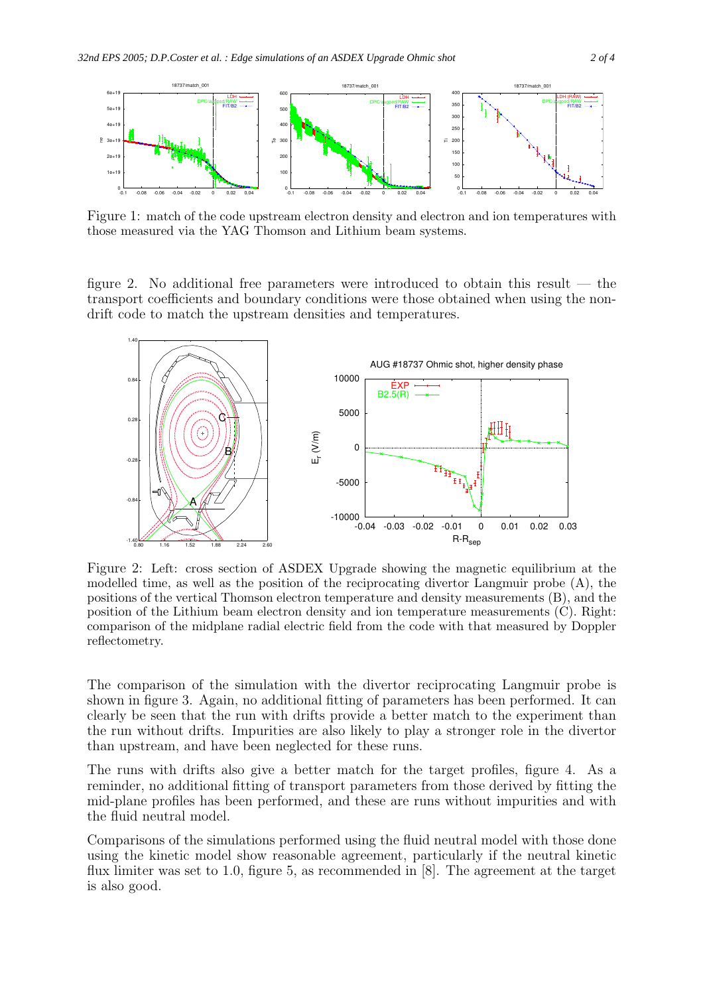

Figure 1: match of the code upstream electron density and electron and ion temperatures with those measured via the YAG Thomson and Lithium beam systems.

figure 2. No additional free parameters were introduced to obtain this result — the transport coefficients and boundary conditions were those obtained when using the nondrift code to match the upstream densities and temperatures.



Figure 2: Left: cross section of ASDEX Upgrade showing the magnetic equilibrium at the modelled time, as well as the position of the reciprocating divertor Langmuir probe (A), the positions of the vertical Thomson electron temperature and density measurements (B), and the position of the Lithium beam electron density and ion temperature measurements (C). Right: comparison of the midplane radial electric field from the code with that measured by Doppler reflectometry.

The comparison of the simulation with the divertor reciprocating Langmuir probe is shown in figure 3. Again, no additional fitting of parameters has been performed. It can clearly be seen that the run with drifts provide a better match to the experiment than the run without drifts. Impurities are also likely to play a stronger role in the divertor than upstream, and have been neglected for these runs.

The runs with drifts also give a better match for the target profiles, figure 4. As a reminder, no additional fitting of transport parameters from those derived by fitting the mid-plane profiles has been performed, and these are runs without impurities and with the fluid neutral model.

Comparisons of the simulations performed using the fluid neutral model with those done using the kinetic model show reasonable agreement, particularly if the neutral kinetic flux limiter was set to 1.0, figure 5, as recommended in [8]. The agreement at the target is also good.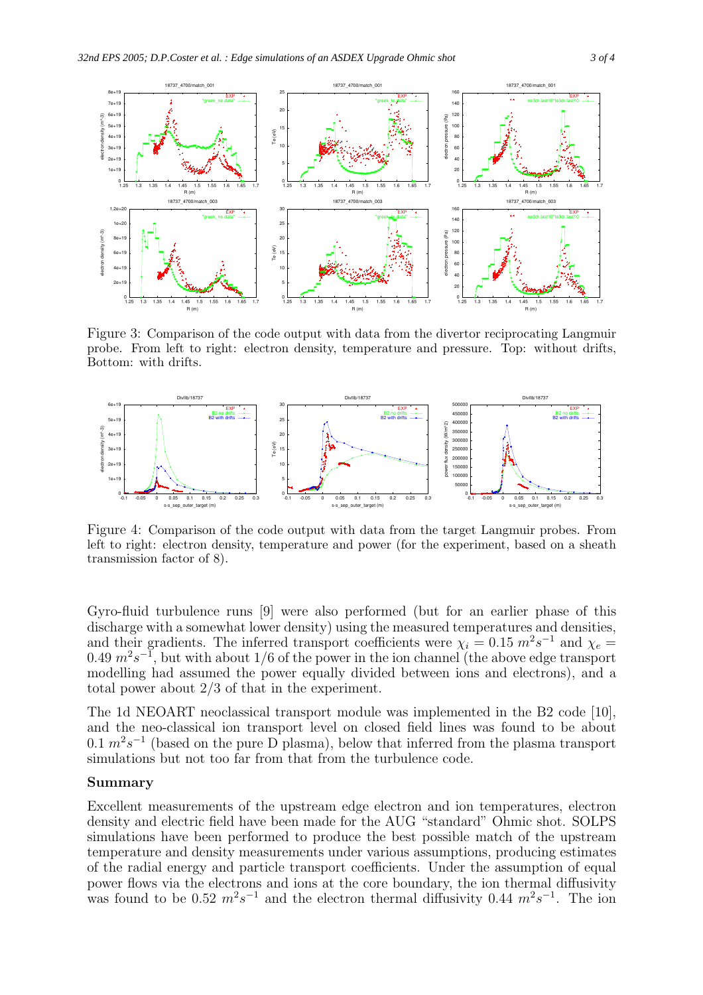

Figure 3: Comparison of the code output with data from the divertor reciprocating Langmuir probe. From left to right: electron density, temperature and pressure. Top: without drifts, Bottom: with drifts.



Figure 4: Comparison of the code output with data from the target Langmuir probes. From left to right: electron density, temperature and power (for the experiment, based on a sheath transmission factor of 8).

Gyro-fluid turbulence runs [9] were also performed (but for an earlier phase of this discharge with a somewhat lower density) using the measured temperatures and densities, and their gradients. The inferred transport coefficients were  $\chi_i = 0.15$   $m^2 s^{-1}$  and  $\chi_e =$ 0.49  $m^2s^{-1}$ , but with about 1/6 of the power in the ion channel (the above edge transport modelling had assumed the power equally divided between ions and electrons), and a total power about 2/3 of that in the experiment.

The 1d NEOART neoclassical transport module was implemented in the B2 code [10], and the neo-classical ion transport level on closed field lines was found to be about  $0.1 \, m^2 s^{-1}$  (based on the pure D plasma), below that inferred from the plasma transport simulations but not too far from that from the turbulence code.

#### Summary

Excellent measurements of the upstream edge electron and ion temperatures, electron density and electric field have been made for the AUG "standard" Ohmic shot. SOLPS simulations have been performed to produce the best possible match of the upstream temperature and density measurements under various assumptions, producing estimates of the radial energy and particle transport coefficients. Under the assumption of equal power flows via the electrons and ions at the core boundary, the ion thermal diffusivity was found to be 0.52  $m^2s^{-1}$  and the electron thermal diffusivity 0.44  $m^2s^{-1}$ . The ion